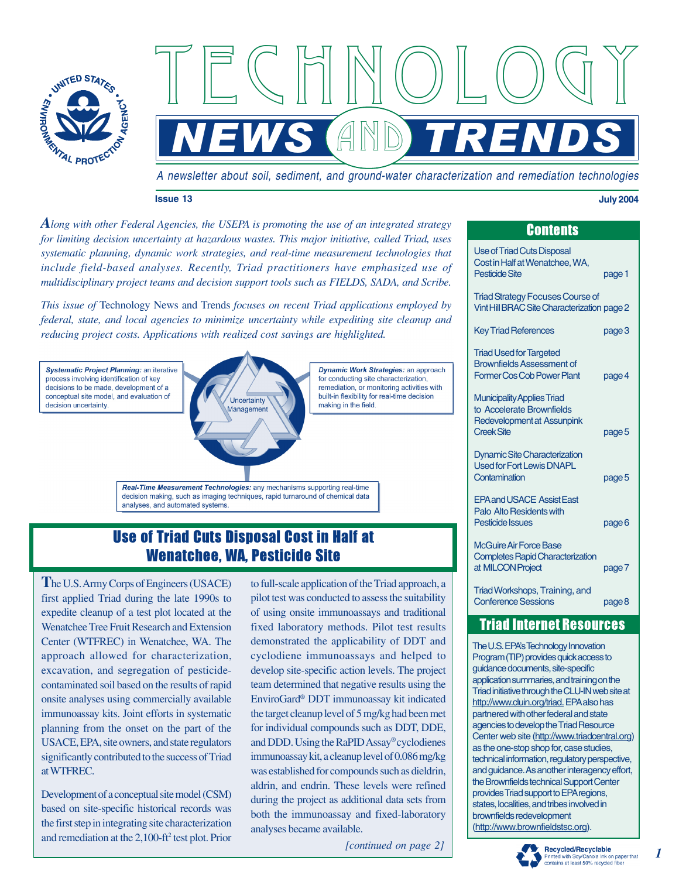

A newsletter about soil, sediment, and ground-water characterization and remediation technologies

<u>NEWS (AND TRENDS</u>

and

TECHNOLOGY

#### **Issue 13 July 2004**

*Along with other Federal Agencies, the USEPA is promoting the use of an integrated strategy for limiting decision uncertainty at hazardous wastes. This major initiative, called Triad, uses systematic planning, dynamic work strategies, and real-time measurement technologies that include field-based analyses. Recently, Triad practitioners have emphasized use of multidisciplinary project teams and decision support tools such as FIELDS, SADA, and Scribe.*

*This issue of* Technology News and Trends *focuses on recent Triad applications employed by federal, state, and local agencies to minimize uncertainty while expediting site cleanup and reducing project costs. Applications with realized cost savings are highlighted.*



# Use of Triad Cuts Disposal Cost in Half at Wenatchee, WA, Pesticide Site

**T**he U.S. Army Corps of Engineers (USACE) first applied Triad during the late 1990s to expedite cleanup of a test plot located at the Wenatchee Tree Fruit Research and Extension Center (WTFREC) in Wenatchee, WA. The approach allowed for characterization, excavation, and segregation of pesticidecontaminated soil based on the results of rapid onsite analyses using commercially available immunoassay kits. Joint efforts in systematic planning from the onset on the part of the USACE, EPA, site owners, and state regulators significantly contributed to the success of Triad at WTFREC.

Development of a conceptual site model (CSM) based on site-specific historical records was the first step in integrating site characterization and remediation at the 2,100-ft<sup>2</sup> test plot. Prior

to full-scale application of the Triad approach, a pilot test was conducted to assess the suitability of using onsite immunoassays and traditional fixed laboratory methods. Pilot test results demonstrated the applicability of DDT and cyclodiene immunoassays and helped to develop site-specific action levels. The project team determined that negative results using the EnviroGard<sup>®</sup> DDT immunoassay kit indicated the target cleanup level of 5 mg/kg had been met for individual compounds such as DDT, DDE, and DDD. Using the RaPID Assay® cyclodienes immunoassay kit, a cleanup level of 0.086 mg/kg was established for compounds such as dieldrin, aldrin, and endrin. These levels were refined during the project as additional data sets from both the immunoassay and fixed-laboratory analyses became available.

*[continued on page 2]*

| JUNUNU                                                                                                            |        |
|-------------------------------------------------------------------------------------------------------------------|--------|
| <b>Use of Triad Cuts Disposal</b><br>Cost in Half at Wenatchee, WA,<br>Pesticide Site                             | page 1 |
| <b>Triad Strategy Focuses Course of</b><br>Vint Hill BRAC Site Characterization page 2                            |        |
| <b>Key Triad References</b>                                                                                       | page 3 |
| <b>Triad Used for Targeted</b><br><b>Brownfields Assessment of</b><br><b>Former Cos Cob Power Plant</b>           | page 4 |
| <b>Municipality Applies Triad</b><br>to Accelerate Brownfields<br>Redevelopment at Assunpink<br><b>Creek Site</b> | page 5 |
| <b>Dynamic Site Characterization</b><br><b>Used for Fort Lewis DNAPL</b><br>Contamination                         | page 5 |
| <b>FPA and USACE Assist Fast</b><br>Palo Alto Residents with<br>Pesticide Issues                                  | page 6 |
| McGuire Air Force Base<br><b>Completes Rapid Characterization</b><br>at MILCON Project                            | page 7 |
| Triad Workshops, Training, and<br><b>Conference Sessions</b>                                                      | page 8 |

Contents

## Triad Internet Resources

The U.S. EPAís Technology Innovation Program (TIP) provides quick access to guidance documents, site-specific application summaries, and training on the Triad initiative through the CLU-IN web site at [http://www.cluin.org/triad.](http://www.cluin.org/triad) EPA also has partnered with other federal and state agencies to develop the Triad Resource Center web site [\(http://www.triadcentral.org\)](http://www.triadcentral.org) as the one-stop shop for, case studies, technical information, regulatory perspective, and guidance. As another interagency effort, the Brownfields technical Support Center provides Triad support to EPA regions, states, localities, and tribes involved in brownfields redevelopment (<http://www.brownfieldstsc.org>).



*1*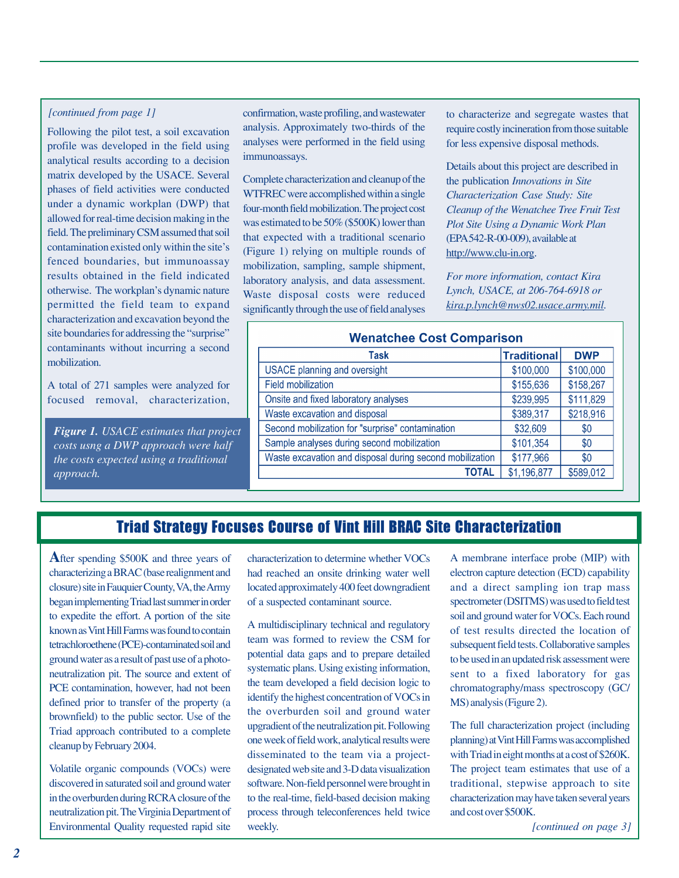Following the pilot test, a soil excavation profile was developed in the field using analytical results according to a decision matrix developed by the USACE. Several phases of field activities were conducted under a dynamic workplan (DWP) that allowed for real-time decision making in the field. The preliminary CSM assumed that soil contamination existed only within the site's fenced boundaries, but immunoassay results obtained in the field indicated otherwise. The workplan's dynamic nature permitted the field team to expand characterization and excavation beyond the site boundaries for addressing the "surprise" contaminants without incurring a second mobilization.

A total of 271 samples were analyzed for focused removal, characterization,

*Figure 1. USACE estimates that project costs usng a DWP approach were half the costs expected using a traditional approach.*

*[continued from page 1]* confirmation, waste profiling, and wastewater analysis. Approximately two-thirds of the analyses were performed in the field using immunoassays.

> Complete characterization and cleanup of the WTFREC were accomplished within a single four-month field mobilization. The project cost was estimated to be 50% (\$500K) lower than that expected with a traditional scenario (Figure 1) relying on multiple rounds of mobilization, sampling, sample shipment, laboratory analysis, and data assessment. Waste disposal costs were reduced significantly through the use of field analyses

to characterize and segregate wastes that require costly incineration from those suitable for less expensive disposal methods.

Details about this project are described in the publication *Innovations in Site Characterization Case Study: Site Cleanup of the Wenatchee Tree Fruit Test Plot Site Using a Dynamic Work Plan* (EPA 542-R-00-009),available at [http://www.clu-in.org.](http://www.clu-in.org)

*For more information, contact Kira Lynch, USACE, at 206-764-6918 or kira.p.lynch@nws02.usace.army.mil.*

### **Wenatchee Cost Comparison**

| Task                                                     | <b>Traditional</b> | <b>DWP</b> |  |
|----------------------------------------------------------|--------------------|------------|--|
| <b>USACE planning and oversight</b>                      | \$100,000          | \$100,000  |  |
| <b>Field mobilization</b>                                | \$155,636          | \$158,267  |  |
| Onsite and fixed laboratory analyses                     | \$239,995          | \$111,829  |  |
| Waste excavation and disposal                            | \$389,317          | \$218,916  |  |
| Second mobilization for "surprise" contamination         | \$32,609           | \$0        |  |
| Sample analyses during second mobilization               | \$101,354          | \$0        |  |
| Waste excavation and disposal during second mobilization | \$177,966          | \$0        |  |
| <b>TOTAL</b>                                             | \$1,196,877        | \$589,012  |  |

# Triad Strategy Focuses Course of Vint Hill BRAC Site Characterization

**A**fter spending \$500K and three years of characterizing a BRAC (base realignment and closure) site in Fauquier County, VA, the Army began implementing Triad last summer in order to expedite the effort. A portion of the site known as Vint Hill Farms was found to contain tetrachloroethene (PCE)-contaminated soil and ground water as a result of past use of a photoneutralization pit. The source and extent of PCE contamination, however, had not been defined prior to transfer of the property (a brownfield) to the public sector. Use of the Triad approach contributed to a complete cleanup by February 2004.

Volatile organic compounds (VOCs) were discovered in saturated soil and ground water in the overburden during RCRA closure of the neutralization pit. The Virginia Department of Environmental Quality requested rapid site

characterization to determine whether VOCs had reached an onsite drinking water well located approximately 400 feet downgradient of a suspected contaminant source.

A multidisciplinary technical and regulatory team was formed to review the CSM for potential data gaps and to prepare detailed systematic plans. Using existing information, the team developed a field decision logic to identify the highest concentration of VOCs in the overburden soil and ground water upgradient of the neutralization pit. Following one week of field work, analytical results were disseminated to the team via a projectdesignated web site and 3-D data visualization software. Non-field personnel were brought in to the real-time, field-based decision making process through teleconferences held twice weekly. *[continued on page 3]*

A membrane interface probe (MIP) with electron capture detection (ECD) capability and a direct sampling ion trap mass spectrometer (DSITMS) was used to field test soil and ground water for VOCs. Each round of test results directed the location of subsequent field tests. Collaborative samples to be used in an updated risk assessment were sent to a fixed laboratory for gas chromatography/mass spectroscopy (GC/ MS) analysis (Figure 2).

The full characterization project (including planning) at Vint Hill Farms was accomplished with Triad in eight months at a cost of \$260K. The project team estimates that use of a traditional, stepwise approach to site characterization may have taken several years and cost over \$500K.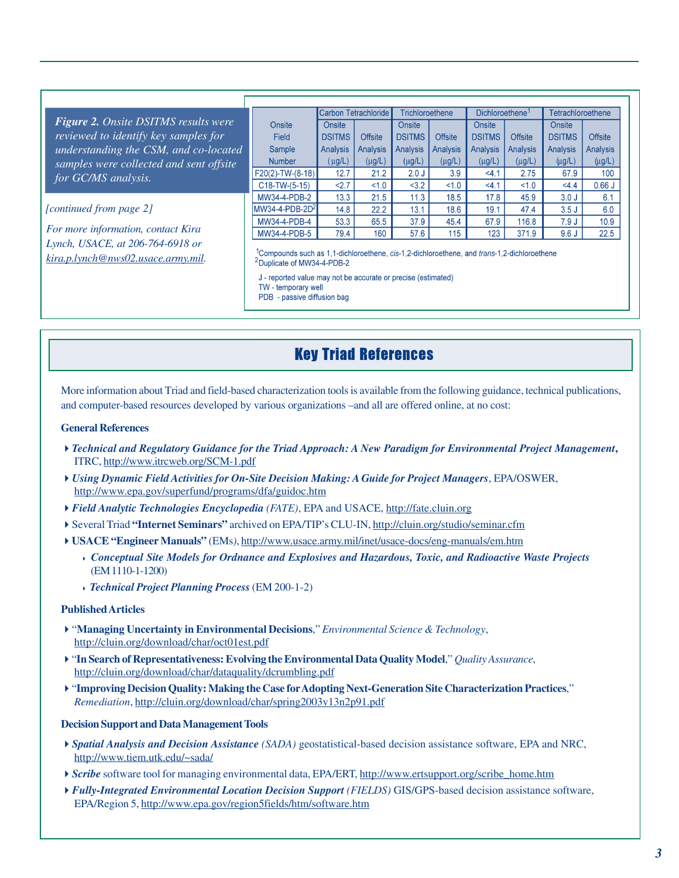|                                         |                                                                                                                                                   | Carbon Tetrachloride |                 | Trichloroethene |                 | Dichloroethene <sup>1</sup> |                 | <b>Tetrachloroethene</b> |                |
|-----------------------------------------|---------------------------------------------------------------------------------------------------------------------------------------------------|----------------------|-----------------|-----------------|-----------------|-----------------------------|-----------------|--------------------------|----------------|
| Figure 2. Onsite DSITMS results were    | Onsite                                                                                                                                            | Onsite               |                 | Onsite          |                 | Onsite                      |                 | Onsite                   |                |
| reviewed to identify key samples for    | Field                                                                                                                                             | <b>DSITMS</b>        | <b>Offsite</b>  | <b>DSITMS</b>   | <b>Offsite</b>  | <b>DSITMS</b>               | <b>Offsite</b>  | <b>DSITMS</b>            | <b>Offsite</b> |
| understanding the CSM, and co-located   | Sample                                                                                                                                            | <b>Analysis</b>      | <b>Analysis</b> | Analysis        | <b>Analysis</b> | <b>Analysis</b>             | <b>Analysis</b> | <b>Analysis</b>          | Analysis       |
| samples were collected and sent offsite | <b>Number</b>                                                                                                                                     | $(\mu g/L)$          | $(\mu g/L)$     | $(\mu g/L)$     | $(\mu g/L)$     | $(\mu g/L)$                 | $(\mu g/L)$     | $(\mu g/L)$              | $(\mu g/L)$    |
| for GC/MS analysis.                     | $F20(2)-TW-(8-18)$                                                                                                                                | 12.7                 | 21.2            | 2.0J            | 3.9             | 4.1                         | 2.75            | 67.9                     | 100            |
|                                         | $C18-TW-(5-15)$                                                                                                                                   | 2.7                  | 1.0             | < 3.2           | 1.0             | 4.1                         | 1.0             | 4.4                      | 0.66J          |
|                                         | MW34-4-PDB-2                                                                                                                                      | 13.3                 | 21.5            | 11.3            | 18.5            | 17.8                        | 45.9            | 3.0J                     | 6.1            |
| [continued from page 2]                 | MW34-4-PDB-2D <sup>2</sup>                                                                                                                        | 14.8                 | 22.2            | 13.1            | 18.6            | 19.1                        | 47.4            | 3.5J                     | 6.0            |
|                                         | MW34-4-PDB-4                                                                                                                                      | 53.3                 | 65.5            | 37.9            | 45.4            | 67.9                        | 116.8           | 7.9J                     | 10.9           |
| For more information, contact Kira      | MW34-4-PDB-5                                                                                                                                      | 79.4                 | 160             | 57.6            | 115             | 123                         | 371.9           | 9.6J                     | 22.5           |
| Lynch, USACE, at 206-764-6918 or        |                                                                                                                                                   |                      |                 |                 |                 |                             |                 |                          |                |
| kira.p.lynch@nws02.usace.army.mil.      | <sup>1</sup> Compounds such as 1,1-dichloroethene, cis-1,2-dichloroethene, and trans-1,2-dichloroethene<br><sup>2</sup> Duplicate of MW34-4-PDB-2 |                      |                 |                 |                 |                             |                 |                          |                |
|                                         | J - reported value may not be accurate or precise (estimated)<br>TW - temporary well                                                              |                      |                 |                 |                 |                             |                 |                          |                |

PDB - passive diffusion bag

# Key Triad References

More information about Triad and field-based characterization tools is available from the following guidance, technical publications, and computer-based resources developed by various organizations -and all are offered online, at no cost:

### **General References**

- *Technical and Regulatory Guidance for the Triad Approach: A New Paradigm for Environmental Project Management***,** ITRC,<http://www.itrcweb.org/SCM-1.pdf>
- *Using Dynamic Field Activities for On-Site Decision Making: A Guide for Project Managers*, EPA/OSWER, <http://www.epa.gov/superfund/programs/dfa/guidoc.htm>
- *Field Analytic Technologies Encyclopedia (FATE)*, EPA and USACE,<http://fate.cluin.org>
- Several Triad "Internet Seminars" archived on EPA/TIP's CLU-IN,<http://cluin.org/studio/seminar.cfm>
- **USACE ìEngineer Manualsî** (EMs*)*,<http://www.usace.army.mil/inet/usace-docs/eng-manuals/em.htm>
	- *Conceptual Site Models for Ordnance and Explosives and Hazardous, Toxic, and Radioactive Waste Projects* (EM 1110-1-1200)
	- *Technical Project Planning Process* (EM 200-1-2)

### **Published Articles**

- ì**Managing Uncertainty in Environmental Decisions**,î *Environmental Science & Technology*, <http://cluin.org/download/char/oct01est.pdf>
- ì**In Search of Representativeness: Evolving the Environmental Data Quality Model**,î *Quality Assurance*, <http://cluin.org/download/char/dataquality/dcrumbling.pdf>
- $\blacktriangleright$  "Improving Decision Quality: Making the Case for Adopting Next-Generation Site Characterization Practices," *Remediation*,<http://cluin.org/download/char/spring2003v13n2p91.pdf>

### **Decision Support and Data Management Tools**

- *Spatial Analysis and Decision Assistance (SADA)* geostatistical-based decision assistance software, EPA and NRC, <http://www.tiem.utk.edu/~sada/>
- **▶ Scribe** software tool for managing environmental data, EPA/ERT, [http://www.ertsupport.org/scribe\\_home.htm](http://www.ertsupport.org/scribe_home.htm)
- *Fully-Integrated Environmental Location Decision Support (FIELDS)* GIS/GPS-based decision assistance software, EPA/Region 5,<http://www.epa.gov/region5fields/htm/software.htm>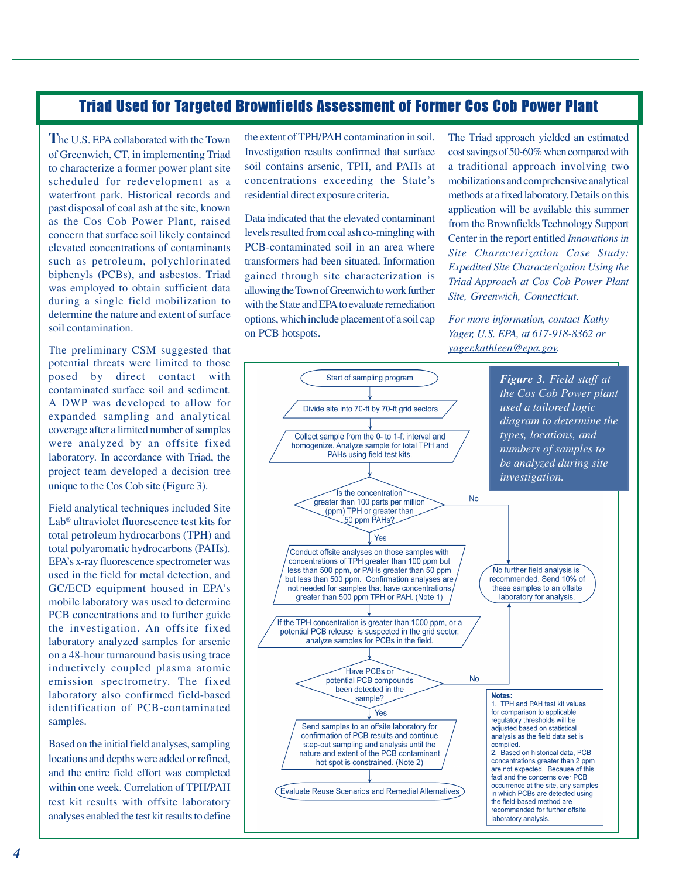# Triad Used for Targeted Brownfields Assessment of Former Cos Cob Power Plant

**T**he U.S. EPA collaborated with the Town of Greenwich, CT, in implementing Triad to characterize a former power plant site scheduled for redevelopment as a waterfront park. Historical records and past disposal of coal ash at the site, known as the Cos Cob Power Plant, raised concern that surface soil likely contained elevated concentrations of contaminants such as petroleum, polychlorinated biphenyls (PCBs), and asbestos. Triad was employed to obtain sufficient data during a single field mobilization to determine the nature and extent of surface soil contamination.

The preliminary CSM suggested that potential threats were limited to those posed by direct contact with contaminated surface soil and sediment. A DWP was developed to allow for expanded sampling and analytical coverage after a limited number of samples were analyzed by an offsite fixed laboratory. In accordance with Triad, the project team developed a decision tree unique to the Cos Cob site (Figure 3).

Field analytical techniques included Site Lab<sup>®</sup> ultraviolet fluorescence test kits for total petroleum hydrocarbons (TPH) and total polyaromatic hydrocarbons (PAHs). EPAís x-ray fluorescence spectrometer was used in the field for metal detection, and GC/ECD equipment housed in EPA's mobile laboratory was used to determine PCB concentrations and to further guide the investigation. An offsite fixed laboratory analyzed samples for arsenic on a 48-hour turnaround basis using trace inductively coupled plasma atomic emission spectrometry. The fixed laboratory also confirmed field-based identification of PCB-contaminated samples.

Based on the initial field analyses, sampling locations and depths were added or refined, and the entire field effort was completed within one week. Correlation of TPH/PAH test kit results with offsite laboratory analyses enabled the test kit results to define the extent of TPH/PAH contamination in soil. Investigation results confirmed that surface soil contains arsenic, TPH, and PAHs at concentrations exceeding the State's residential direct exposure criteria.

Data indicated that the elevated contaminant levels resulted from coal ash co-mingling with PCB-contaminated soil in an area where transformers had been situated. Information gained through site characterization is allowing the Town of Greenwich to work further with the State and EPA to evaluate remediation options, which include placement of a soil cap on PCB hotspots.

The Triad approach yielded an estimated cost savings of 50-60% when compared with a traditional approach involving two mobilizations and comprehensive analytical methods at a fixed laboratory. Details on this application will be available this summer from the Brownfields Technology Support Center in the report entitled *Innovations in Site Characterization Case Study: Expedited Site Characterization Using the Triad Approach at Cos Cob Power Plant Site, Greenwich, Connecticut*.

*For more information, contact Kathy Yager, U.S. EPA, at 617-918-8362 or yager.kathleen@epa.gov.*

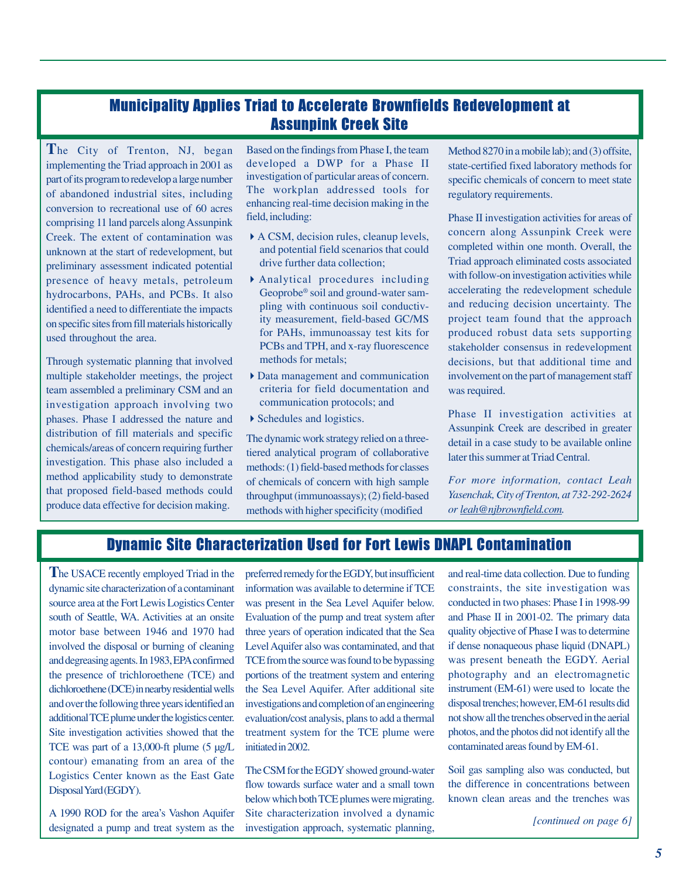# Municipality Applies Triad to Accelerate Brownfields Redevelopment at Assunpink Creek Site

**T**he City of Trenton, NJ, began implementing the Triad approach in 2001 as part of its program to redevelop a large number of abandoned industrial sites, including conversion to recreational use of 60 acres comprising 11 land parcels along Assunpink Creek. The extent of contamination was unknown at the start of redevelopment, but preliminary assessment indicated potential presence of heavy metals, petroleum hydrocarbons, PAHs, and PCBs. It also identified a need to differentiate the impacts on specific sites from fill materials historically used throughout the area.

Through systematic planning that involved multiple stakeholder meetings, the project team assembled a preliminary CSM and an investigation approach involving two phases. Phase I addressed the nature and distribution of fill materials and specific chemicals/areas of concern requiring further investigation. This phase also included a method applicability study to demonstrate that proposed field-based methods could produce data effective for decision making.

Based on the findings from Phase I, the team developed a DWP for a Phase II investigation of particular areas of concern. The workplan addressed tools for enhancing real-time decision making in the field, including:

- A CSM, decision rules, cleanup levels, and potential field scenarios that could drive further data collection;
- Analytical procedures including Geoprobe<sup>®</sup> soil and ground-water sampling with continuous soil conductivity measurement, field-based GC/MS for PAHs, immunoassay test kits for PCBs and TPH, and x-ray fluorescence methods for metals;
- Data management and communication criteria for field documentation and communication protocols; and
- Schedules and logistics.

The dynamic work strategy relied on a threetiered analytical program of collaborative methods: (1) field-based methods for classes of chemicals of concern with high sample throughput (immunoassays); (2) field-based methods with higher specificity (modified

Method 8270 in a mobile lab); and (3) offsite, state-certified fixed laboratory methods for specific chemicals of concern to meet state regulatory requirements.

Phase II investigation activities for areas of concern along Assunpink Creek were completed within one month. Overall, the Triad approach eliminated costs associated with follow-on investigation activities while accelerating the redevelopment schedule and reducing decision uncertainty. The project team found that the approach produced robust data sets supporting stakeholder consensus in redevelopment decisions, but that additional time and involvement on the part of management staff was required.

Phase II investigation activities at Assunpink Creek are described in greater detail in a case study to be available online later this summer at Triad Central.

*For more information, contact Leah Yasenchak, City of Trenton, at 732-292-2624 or leah@njbrownfield.com.*

# Dynamic Site Characterization Used for Fort Lewis DNAPL Contamination

**T**he USACE recently employed Triad in the dynamic site characterization of a contaminant source area at the Fort Lewis Logistics Center south of Seattle, WA. Activities at an onsite motor base between 1946 and 1970 had involved the disposal or burning of cleaning and degreasing agents. In 1983, EPA confirmed the presence of trichloroethene (TCE) and dichloroethene (DCE) in nearby residential wells and over the following three years identified an additional TCE plume under the logistics center. Site investigation activities showed that the TCE was part of a 13,000-ft plume (5 µg/L contour) emanating from an area of the Logistics Center known as the East Gate Disposal Yard (EGDY).

A 1990 ROD for the area's Vashon Aquifer designated a pump and treat system as the preferred remedy for the EGDY, but insufficient information was available to determine if TCE was present in the Sea Level Aquifer below. Evaluation of the pump and treat system after three years of operation indicated that the Sea Level Aquifer also was contaminated, and that TCE from the source was found to be bypassing portions of the treatment system and entering the Sea Level Aquifer. After additional site investigations and completion of an engineering evaluation/cost analysis, plans to add a thermal treatment system for the TCE plume were initiated in 2002.

The CSM for the EGDY showed ground-water flow towards surface water and a small town below which both TCE plumes were migrating. Site characterization involved a dynamic investigation approach, systematic planning, *[continued on page 6]*

and real-time data collection. Due to funding constraints, the site investigation was conducted in two phases: Phase I in 1998-99 and Phase II in 2001-02. The primary data quality objective of Phase I was to determine if dense nonaqueous phase liquid (DNAPL) was present beneath the EGDY. Aerial photography and an electromagnetic instrument (EM-61) were used to locate the disposal trenches; however, EM-61 results did not show all the trenches observed in the aerial photos, and the photos did not identify all the contaminated areas found by EM-61.

Soil gas sampling also was conducted, but the difference in concentrations between known clean areas and the trenches was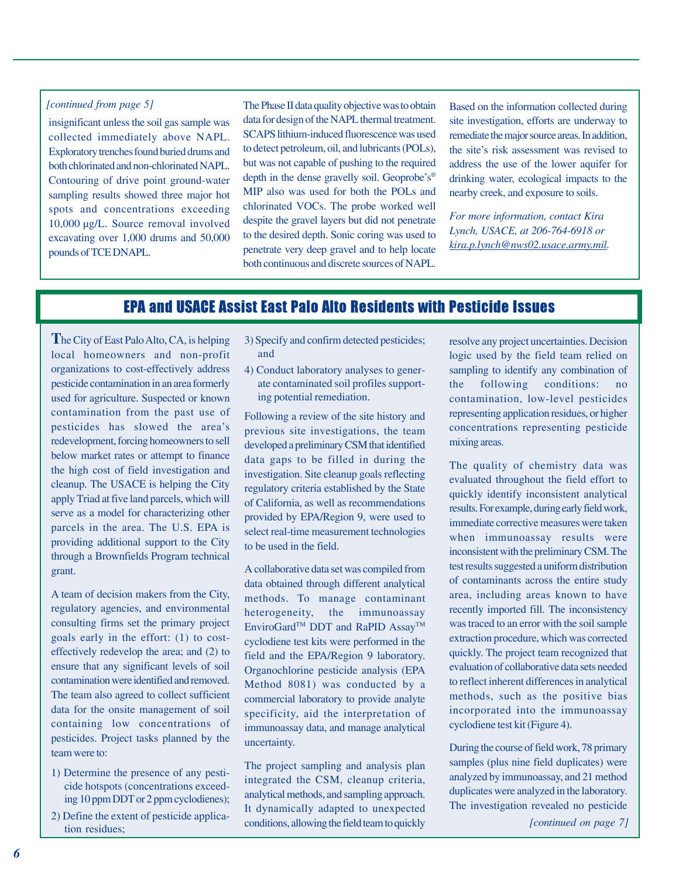### *[continued from page 5]*

insignificant unless the soil gas sample was collected immediately above NAPL. Exploratory trenches found buried drums and both chlorinated and non-chlorinated NAPL. Contouring of drive point ground-water sampling results showed three major hot spots and concentrations exceeding 10,000 µg/L. Source removal involved excavating over 1,000 drums and 50,000 pounds of TCE DNAPL.

The Phase II data quality objective was to obtain data for design of the NAPL thermal treatment. SCAPS lithium-induced fluorescence was used to detect petroleum, oil, and lubricants (POLs), but was not capable of pushing to the required depth in the dense gravelly soil. Geoprobe's® MIP also was used for both the POLs and chlorinated VOCs. The probe worked well despite the gravel layers but did not penetrate to the desired depth. Sonic coring was used to penetrate very deep gravel and to help locate both continuous and discrete sources of NAPL.

Based on the information collected during site investigation, efforts are underway to remediate the major source areas. In addition, the site's risk assessment was revised to address the use of the lower aquifer for drinking water, ecological impacts to the nearby creek, and exposure to soils.

*For more information, contact Kira Lynch, USACE, at 206-764-6918 or kira.p.lynch@nws02.usace.army.mil.*

# EPA and USACE Assist East Palo Alto Residents with Pesticide Issues

**T**he City of East Palo Alto, CA, is helping local homeowners and non-profit organizations to cost-effectively address pesticide contamination in an area formerly used for agriculture. Suspected or known contamination from the past use of pesticides has slowed the area's redevelopment, forcing homeowners to sell below market rates or attempt to finance the high cost of field investigation and cleanup. The USACE is helping the City apply Triad at five land parcels, which will serve as a model for characterizing other parcels in the area. The U.S. EPA is providing additional support to the City through a Brownfields Program technical grant.

A team of decision makers from the City, regulatory agencies, and environmental consulting firms set the primary project goals early in the effort: (1) to costeffectively redevelop the area; and (2) to ensure that any significant levels of soil contamination were identified and removed. The team also agreed to collect sufficient data for the onsite management of soil containing low concentrations of pesticides. Project tasks planned by the team were to:

- 1) Determine the presence of any pesticide hotspots (concentrations exceeding 10 ppm DDT or 2 ppm cyclodienes);
- 2) Define the extent of pesticide application residues;
- 3) Specify and confirm detected pesticides; and
- 4) Conduct laboratory analyses to generate contaminated soil profiles supporting potential remediation.

Following a review of the site history and previous site investigations, the team developed a preliminary CSM that identified data gaps to be filled in during the investigation. Site cleanup goals reflecting regulatory criteria established by the State of California, as well as recommendations provided by EPA/Region 9, were used to select real-time measurement technologies to be used in the field.

A collaborative data set was compiled from data obtained through different analytical methods. To manage contaminant heterogeneity, the immunoassay EnviroGard<sup>™</sup> DDT and RaPID Assay<sup>™</sup> cyclodiene test kits were performed in the field and the EPA/Region 9 laboratory. Organochlorine pesticide analysis (EPA Method 8081) was conducted by a commercial laboratory to provide analyte specificity, aid the interpretation of immunoassay data, and manage analytical uncertainty.

The project sampling and analysis plan integrated the CSM, cleanup criteria, analytical methods, and sampling approach. It dynamically adapted to unexpected conditions, allowing the field team to quickly resolve any project uncertainties. Decision logic used by the field team relied on sampling to identify any combination of the following conditions: no contamination, low-level pesticides representing application residues, or higher concentrations representing pesticide mixing areas.

The quality of chemistry data was evaluated throughout the field effort to quickly identify inconsistent analytical results. For example, during early field work, immediate corrective measures were taken when immunoassay results were inconsistent with the preliminary CSM. The test results suggested a uniform distribution of contaminants across the entire study area, including areas known to have recently imported fill. The inconsistency was traced to an error with the soil sample extraction procedure, which was corrected quickly. The project team recognized that evaluation of collaborative data sets needed to reflect inherent differences in analytical methods, such as the positive bias incorporated into the immunoassay cyclodiene test kit (Figure 4).

During the course of field work, 78 primary samples (plus nine field duplicates) were analyzed by immunoassay, and 21 method duplicates were analyzed in the laboratory. The investigation revealed no pesticide

*[continued on page 7]*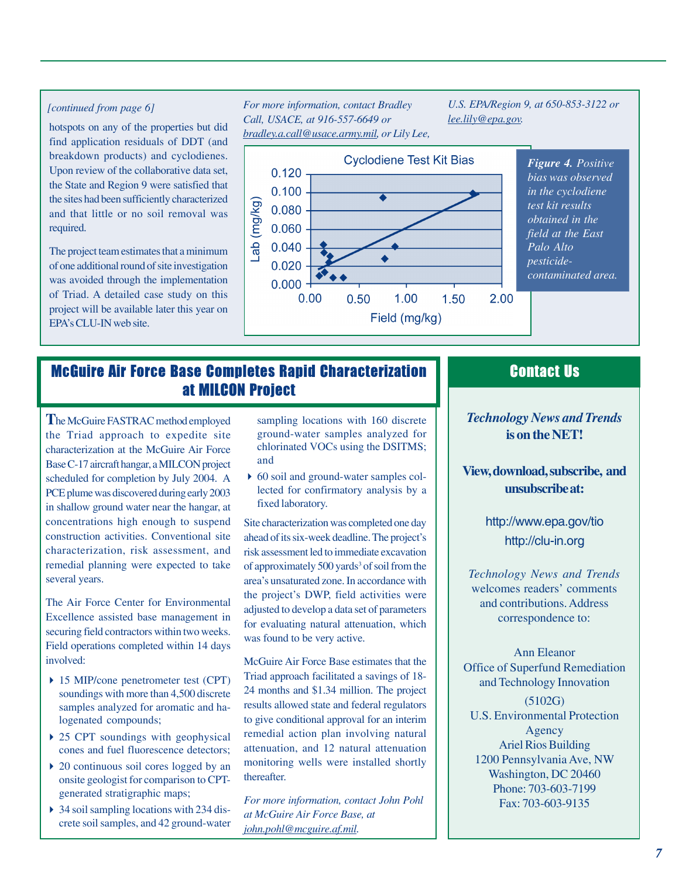### *[continued from page 6]*

hotspots on any of the properties but did find application residuals of DDT (and breakdown products) and cyclodienes. Upon review of the collaborative data set, the State and Region 9 were satisfied that the sites had been sufficiently characterized and that little or no soil removal was required.

The project team estimates that a minimum of one additional round of site investigation was avoided through the implementation of Triad. A detailed case study on this project will be available later this year on EPAís CLU-IN web site.

### *For more information, contact Bradley Call, USACE, at 916-557-6649 or bradley.a.call@usace.army.mil, or Lily Lee,*

*U.S. EPA/Region 9, at 650-853-3122 or lee.lily@epa.gov.*



*bias was observed in the cyclodiene obtained in the field at the East contaminated area.*

# McGuire Air Force Base Completes Rapid Characterization at MILCON Project

**T**he McGuire FASTRAC method employed the Triad approach to expedite site characterization at the McGuire Air Force Base C-17 aircraft hangar, a MILCON project scheduled for completion by July 2004. A PCE plume was discovered during early 2003 in shallow ground water near the hangar, at concentrations high enough to suspend construction activities. Conventional site characterization, risk assessment, and remedial planning were expected to take several years.

The Air Force Center for Environmental Excellence assisted base management in securing field contractors within two weeks. Field operations completed within 14 days involved:

- 15 MIP/cone penetrometer test (CPT) soundings with more than 4,500 discrete samples analyzed for aromatic and halogenated compounds;
- ▶ 25 CPT soundings with geophysical cones and fuel fluorescence detectors;
- $\triangleright$  20 continuous soil cores logged by an onsite geologist for comparison to CPTgenerated stratigraphic maps;
- 34 soil sampling locations with 234 discrete soil samples, and 42 ground-water

sampling locations with 160 discrete ground-water samples analyzed for chlorinated VOCs using the DSITMS; and

 60 soil and ground-water samples collected for confirmatory analysis by a fixed laboratory.

Site characterization was completed one day ahead of its six-week deadline. The project's risk assessment led to immediate excavation of approximately 500 yards<sup>3</sup> of soil from the area's unsaturated zone. In accordance with the project's DWP, field activities were adjusted to develop a data set of parameters for evaluating natural attenuation, which was found to be very active.

McGuire Air Force Base estimates that the Triad approach facilitated a savings of 18- 24 months and \$1.34 million. The project results allowed state and federal regulators to give conditional approval for an interim remedial action plan involving natural attenuation, and 12 natural attenuation monitoring wells were installed shortly thereafter.

*For more information, contact John Pohl at McGuire Air Force Base, at john.pohl@mcguire.af.mil.*

# Contact Us

### *Technology News and Trends* **is on the NET!**

**View, download, subscribe, and unsubscribe at:**

> <http://www.epa.gov/tio> <http://clu-in.org>

*Technology News and Trends* welcomes readers' comments and contributions. Address correspondence to:

Ann Eleanor Office of Superfund Remediation and Technology Innovation (5102G) U.S. Environmental Protection Agency Ariel Rios Building 1200 Pennsylvania Ave, NW Washington, DC 20460 Phone: 703-603-7199 Fax: 703-603-9135